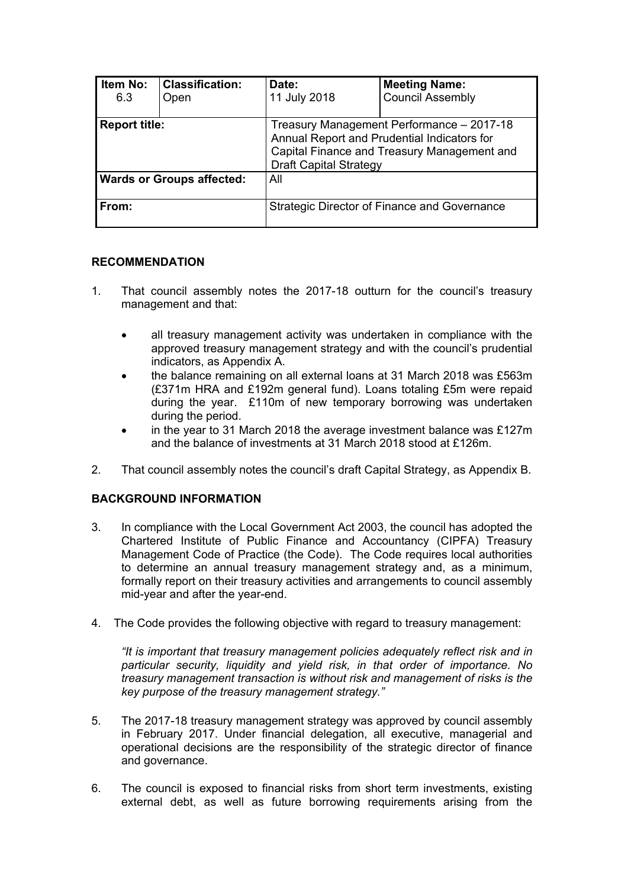| <b>Item No:</b><br>6.3           | <b>Classification:</b><br>Open | Date:<br>11 July 2018                                                                                                                                                    | <b>Meeting Name:</b><br><b>Council Assembly</b> |
|----------------------------------|--------------------------------|--------------------------------------------------------------------------------------------------------------------------------------------------------------------------|-------------------------------------------------|
| <b>Report title:</b>             |                                | Treasury Management Performance - 2017-18<br>Annual Report and Prudential Indicators for<br>Capital Finance and Treasury Management and<br><b>Draft Capital Strategy</b> |                                                 |
| <b>Wards or Groups affected:</b> |                                | All                                                                                                                                                                      |                                                 |
| From:                            |                                |                                                                                                                                                                          | Strategic Director of Finance and Governance    |

### **RECOMMENDATION**

- 1. That council assembly notes the 2017-18 outturn for the council's treasury management and that:
	- all treasury management activity was undertaken in compliance with the approved treasury management strategy and with the council's prudential indicators, as Appendix A.
	- the balance remaining on all external loans at 31 March 2018 was £563m (£371m HRA and £192m general fund). Loans totaling £5m were repaid during the year. £110m of new temporary borrowing was undertaken during the period.
	- in the year to 31 March 2018 the average investment balance was £127m and the balance of investments at 31 March 2018 stood at £126m.
- 2. That council assembly notes the council's draft Capital Strategy, as Appendix B.

## **BACKGROUND INFORMATION**

- 3. In compliance with the Local Government Act 2003, the council has adopted the Chartered Institute of Public Finance and Accountancy (CIPFA) Treasury Management Code of Practice (the Code). The Code requires local authorities to determine an annual treasury management strategy and, as a minimum, formally report on their treasury activities and arrangements to council assembly mid-year and after the year-end.
- 4. The Code provides the following objective with regard to treasury management:

*"It is important that treasury management policies adequately reflect risk and in particular security, liquidity and yield risk, in that order of importance. No treasury management transaction is without risk and management of risks is the key purpose of the treasury management strategy."*

- 5. The 2017-18 treasury management strategy was approved by council assembly in February 2017. Under financial delegation, all executive, managerial and operational decisions are the responsibility of the strategic director of finance and governance.
- 6. The council is exposed to financial risks from short term investments, existing external debt, as well as future borrowing requirements arising from the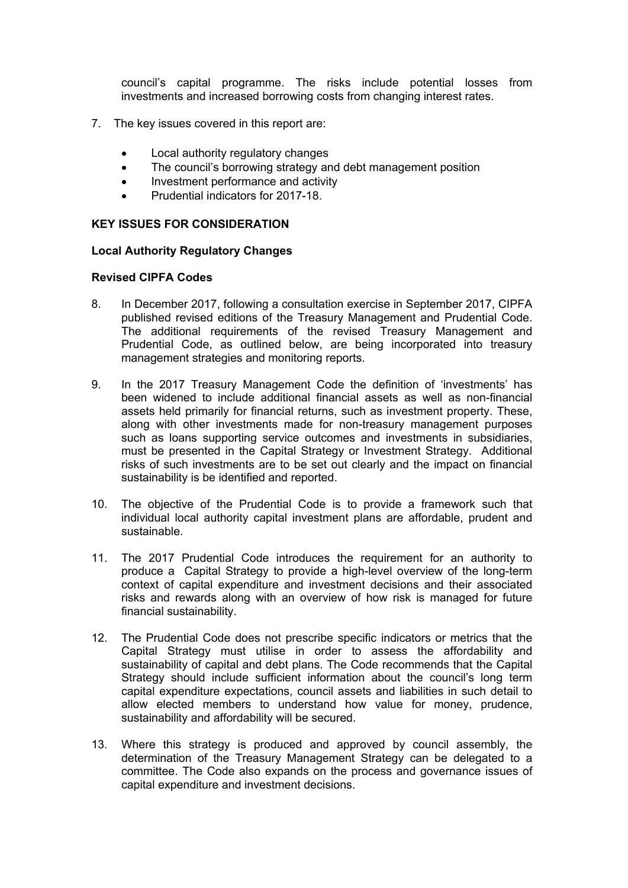council's capital programme. The risks include potential losses from investments and increased borrowing costs from changing interest rates.

- 7. The key issues covered in this report are:
	- Local authority regulatory changes
	- The council's borrowing strategy and debt management position
	- Investment performance and activity
	- Prudential indicators for 2017-18.

#### **KEY ISSUES FOR CONSIDERATION**

#### **Local Authority Regulatory Changes**

#### **Revised CIPFA Codes**

- 8. In December 2017, following a consultation exercise in September 2017, CIPFA published revised editions of the Treasury Management and Prudential Code. The additional requirements of the revised Treasury Management and Prudential Code, as outlined below, are being incorporated into treasury management strategies and monitoring reports.
- 9. In the 2017 Treasury Management Code the definition of 'investments' has been widened to include additional financial assets as well as non-financial assets held primarily for financial returns, such as investment property. These, along with other investments made for non-treasury management purposes such as loans supporting service outcomes and investments in subsidiaries, must be presented in the Capital Strategy or Investment Strategy. Additional risks of such investments are to be set out clearly and the impact on financial sustainability is be identified and reported.
- 10. The objective of the Prudential Code is to provide a framework such that individual local authority capital investment plans are affordable, prudent and sustainable.
- 11. The 2017 Prudential Code introduces the requirement for an authority to produce a Capital Strategy to provide a high-level overview of the long-term context of capital expenditure and investment decisions and their associated risks and rewards along with an overview of how risk is managed for future financial sustainability.
- 12. The Prudential Code does not prescribe specific indicators or metrics that the Capital Strategy must utilise in order to assess the affordability and sustainability of capital and debt plans. The Code recommends that the Capital Strategy should include sufficient information about the council's long term capital expenditure expectations, council assets and liabilities in such detail to allow elected members to understand how value for money, prudence, sustainability and affordability will be secured.
- 13. Where this strategy is produced and approved by council assembly, the determination of the Treasury Management Strategy can be delegated to a committee. The Code also expands on the process and governance issues of capital expenditure and investment decisions.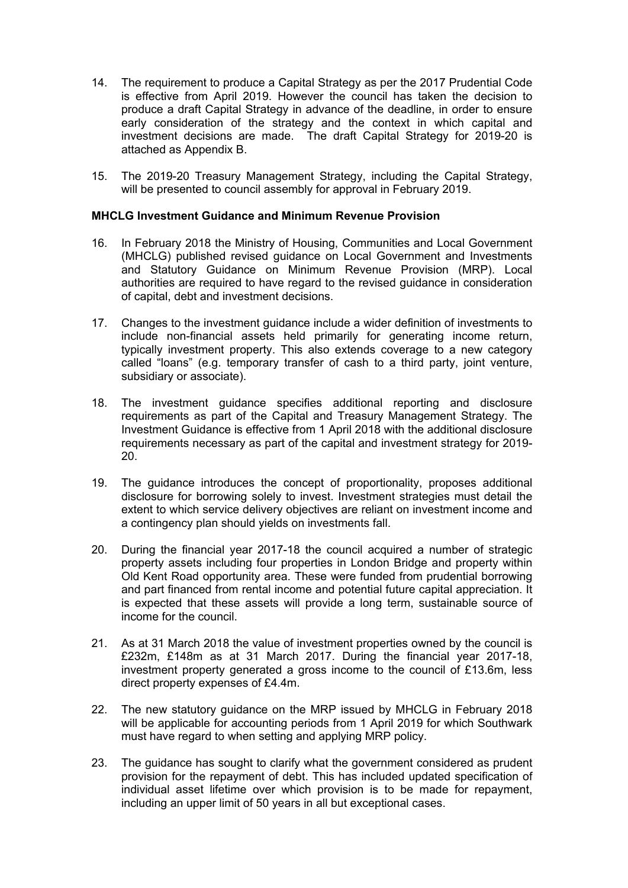- 14. The requirement to produce a Capital Strategy as per the 2017 Prudential Code is effective from April 2019. However the council has taken the decision to produce a draft Capital Strategy in advance of the deadline, in order to ensure early consideration of the strategy and the context in which capital and investment decisions are made. The draft Capital Strategy for 2019-20 is attached as Appendix B.
- 15. The 2019-20 Treasury Management Strategy, including the Capital Strategy, will be presented to council assembly for approval in February 2019.

#### **MHCLG Investment Guidance and Minimum Revenue Provision**

- 16. In February 2018 the Ministry of Housing, Communities and Local Government (MHCLG) published revised guidance on Local Government and Investments and Statutory Guidance on Minimum Revenue Provision (MRP). Local authorities are required to have regard to the revised guidance in consideration of capital, debt and investment decisions.
- 17. Changes to the investment guidance include a wider definition of investments to include non-financial assets held primarily for generating income return, typically investment property. This also extends coverage to a new category called "loans" (e.g. temporary transfer of cash to a third party, joint venture, subsidiary or associate).
- 18. The investment guidance specifies additional reporting and disclosure requirements as part of the Capital and Treasury Management Strategy. The Investment Guidance is effective from 1 April 2018 with the additional disclosure requirements necessary as part of the capital and investment strategy for 2019- 20.
- 19. The guidance introduces the concept of proportionality, proposes additional disclosure for borrowing solely to invest. Investment strategies must detail the extent to which service delivery objectives are reliant on investment income and a contingency plan should yields on investments fall.
- 20. During the financial year 2017-18 the council acquired a number of strategic property assets including four properties in London Bridge and property within Old Kent Road opportunity area. These were funded from prudential borrowing and part financed from rental income and potential future capital appreciation. It is expected that these assets will provide a long term, sustainable source of income for the council.
- 21. As at 31 March 2018 the value of investment properties owned by the council is £232m, £148m as at 31 March 2017. During the financial year 2017-18, investment property generated a gross income to the council of £13.6m, less direct property expenses of £4.4m.
- 22. The new statutory guidance on the MRP issued by MHCLG in February 2018 will be applicable for accounting periods from 1 April 2019 for which Southwark must have regard to when setting and applying MRP policy.
- 23. The guidance has sought to clarify what the government considered as prudent provision for the repayment of debt. This has included updated specification of individual asset lifetime over which provision is to be made for repayment, including an upper limit of 50 years in all but exceptional cases.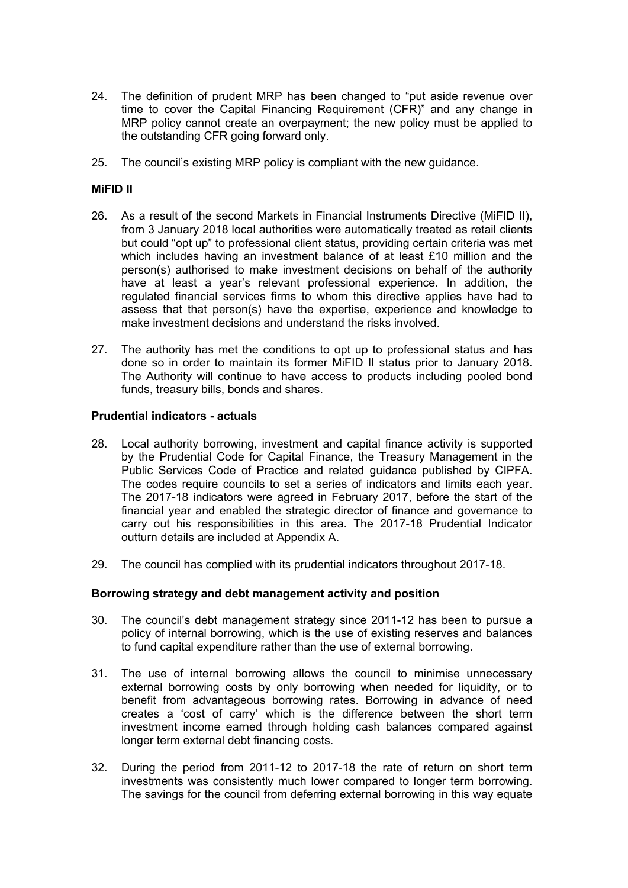- 24. The definition of prudent MRP has been changed to "put aside revenue over time to cover the Capital Financing Requirement (CFR)" and any change in MRP policy cannot create an overpayment; the new policy must be applied to the outstanding CFR going forward only.
- 25. The council's existing MRP policy is compliant with the new guidance.

#### **MiFID II**

- 26. As a result of the second Markets in Financial Instruments Directive (MiFID II), from 3 January 2018 local authorities were automatically treated as retail clients but could "opt up" to professional client status, providing certain criteria was met which includes having an investment balance of at least £10 million and the person(s) authorised to make investment decisions on behalf of the authority have at least a year's relevant professional experience. In addition, the regulated financial services firms to whom this directive applies have had to assess that that person(s) have the expertise, experience and knowledge to make investment decisions and understand the risks involved.
- 27. The authority has met the conditions to opt up to professional status and has done so in order to maintain its former MiFID II status prior to January 2018. The Authority will continue to have access to products including pooled bond funds, treasury bills, bonds and shares.

#### **Prudential indicators - actuals**

- 28. Local authority borrowing, investment and capital finance activity is supported by the Prudential Code for Capital Finance, the Treasury Management in the Public Services Code of Practice and related guidance published by CIPFA. The codes require councils to set a series of indicators and limits each year. The 2017-18 indicators were agreed in February 2017, before the start of the financial year and enabled the strategic director of finance and governance to carry out his responsibilities in this area. The 2017-18 Prudential Indicator outturn details are included at Appendix A.
- 29. The council has complied with its prudential indicators throughout 2017-18.

#### **Borrowing strategy and debt management activity and position**

- 30. The council's debt management strategy since 2011-12 has been to pursue a policy of internal borrowing, which is the use of existing reserves and balances to fund capital expenditure rather than the use of external borrowing.
- 31. The use of internal borrowing allows the council to minimise unnecessary external borrowing costs by only borrowing when needed for liquidity, or to benefit from advantageous borrowing rates. Borrowing in advance of need creates a 'cost of carry' which is the difference between the short term investment income earned through holding cash balances compared against longer term external debt financing costs.
- 32. During the period from 2011-12 to 2017-18 the rate of return on short term investments was consistently much lower compared to longer term borrowing. The savings for the council from deferring external borrowing in this way equate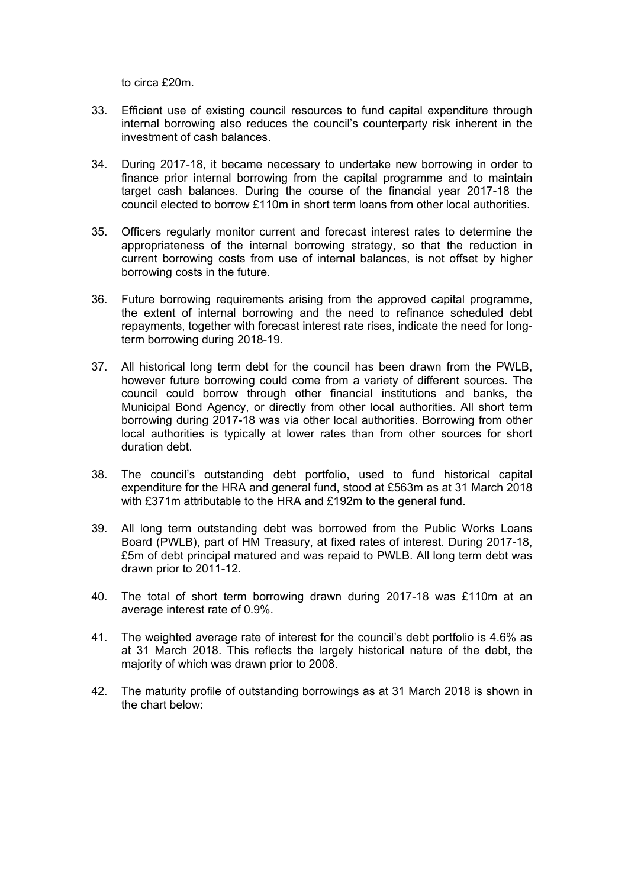to circa £20m.

- 33. Efficient use of existing council resources to fund capital expenditure through internal borrowing also reduces the council's counterparty risk inherent in the investment of cash balances.
- 34. During 2017-18, it became necessary to undertake new borrowing in order to finance prior internal borrowing from the capital programme and to maintain target cash balances. During the course of the financial year 2017-18 the council elected to borrow £110m in short term loans from other local authorities.
- 35. Officers regularly monitor current and forecast interest rates to determine the appropriateness of the internal borrowing strategy, so that the reduction in current borrowing costs from use of internal balances, is not offset by higher borrowing costs in the future.
- 36. Future borrowing requirements arising from the approved capital programme, the extent of internal borrowing and the need to refinance scheduled debt repayments, together with forecast interest rate rises, indicate the need for longterm borrowing during 2018-19.
- 37. All historical long term debt for the council has been drawn from the PWLB, however future borrowing could come from a variety of different sources. The council could borrow through other financial institutions and banks, the Municipal Bond Agency, or directly from other local authorities. All short term borrowing during 2017-18 was via other local authorities. Borrowing from other local authorities is typically at lower rates than from other sources for short duration debt.
- 38. The council's outstanding debt portfolio, used to fund historical capital expenditure for the HRA and general fund, stood at £563m as at 31 March 2018 with £371m attributable to the HRA and £192m to the general fund.
- 39. All long term outstanding debt was borrowed from the Public Works Loans Board (PWLB), part of HM Treasury, at fixed rates of interest. During 2017-18, £5m of debt principal matured and was repaid to PWLB. All long term debt was drawn prior to 2011-12.
- 40. The total of short term borrowing drawn during 2017-18 was £110m at an average interest rate of 0.9%.
- 41. The weighted average rate of interest for the council's debt portfolio is 4.6% as at 31 March 2018. This reflects the largely historical nature of the debt, the majority of which was drawn prior to 2008.
- 42. The maturity profile of outstanding borrowings as at 31 March 2018 is shown in the chart below: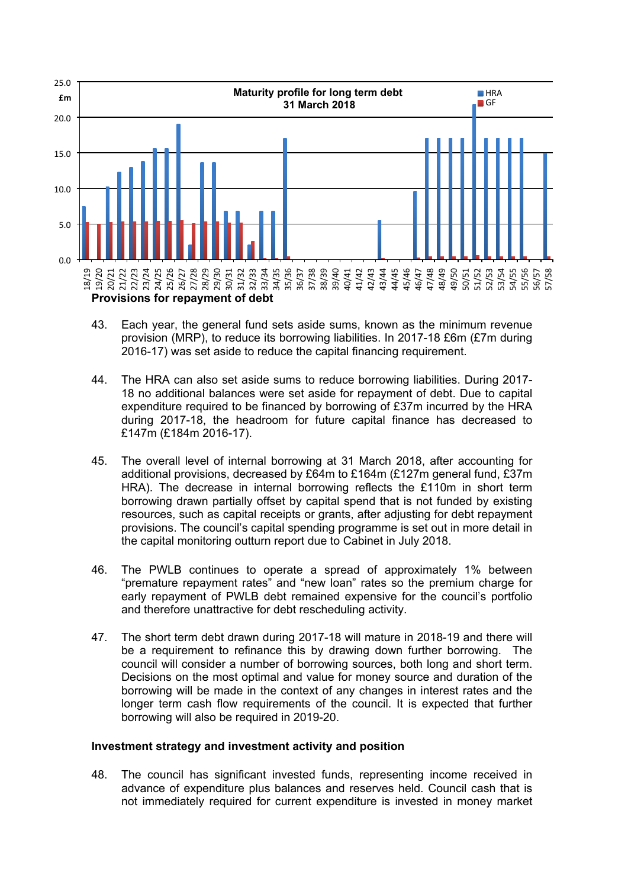

- 43. Each year, the general fund sets aside sums, known as the minimum revenue provision (MRP), to reduce its borrowing liabilities. In 2017-18 £6m (£7m during 2016-17) was set aside to reduce the capital financing requirement.
- 44. The HRA can also set aside sums to reduce borrowing liabilities. During 2017- 18 no additional balances were set aside for repayment of debt. Due to capital expenditure required to be financed by borrowing of £37m incurred by the HRA during 2017-18, the headroom for future capital finance has decreased to £147m (£184m 2016-17).
- 45. The overall level of internal borrowing at 31 March 2018, after accounting for additional provisions, decreased by £64m to £164m (£127m general fund, £37m HRA). The decrease in internal borrowing reflects the £110m in short term borrowing drawn partially offset by capital spend that is not funded by existing resources, such as capital receipts or grants, after adjusting for debt repayment provisions. The council's capital spending programme is set out in more detail in the capital monitoring outturn report due to Cabinet in July 2018.
- 46. The PWLB continues to operate a spread of approximately 1% between "premature repayment rates" and "new loan" rates so the premium charge for early repayment of PWLB debt remained expensive for the council's portfolio and therefore unattractive for debt rescheduling activity.
- 47. The short term debt drawn during 2017-18 will mature in 2018-19 and there will be a requirement to refinance this by drawing down further borrowing. The council will consider a number of borrowing sources, both long and short term. Decisions on the most optimal and value for money source and duration of the borrowing will be made in the context of any changes in interest rates and the longer term cash flow requirements of the council. It is expected that further borrowing will also be required in 2019-20.

#### **Investment strategy and investment activity and position**

48. The council has significant invested funds, representing income received in advance of expenditure plus balances and reserves held. Council cash that is not immediately required for current expenditure is invested in money market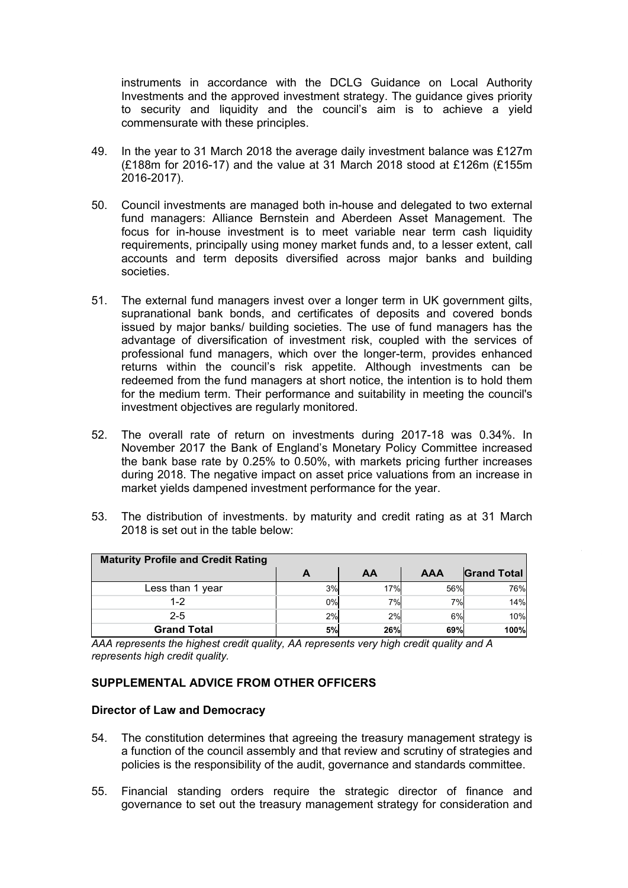instruments in accordance with the DCLG Guidance on Local Authority Investments and the approved investment strategy. The guidance gives priority to security and liquidity and the council's aim is to achieve a yield commensurate with these principles.

- 49. In the year to 31 March 2018 the average daily investment balance was £127m (£188m for 2016-17) and the value at 31 March 2018 stood at £126m (£155m 2016-2017).
- 50. Council investments are managed both in-house and delegated to two external fund managers: Alliance Bernstein and Aberdeen Asset Management. The focus for in-house investment is to meet variable near term cash liquidity requirements, principally using money market funds and, to a lesser extent, call accounts and term deposits diversified across major banks and building societies.
- 51. The external fund managers invest over a longer term in UK government gilts, supranational bank bonds, and certificates of deposits and covered bonds issued by major banks/ building societies. The use of fund managers has the advantage of diversification of investment risk, coupled with the services of professional fund managers, which over the longer-term, provides enhanced returns within the council's risk appetite. Although investments can be redeemed from the fund managers at short notice, the intention is to hold them for the medium term. Their performance and suitability in meeting the council's investment objectives are regularly monitored.
- 52. The overall rate of return on investments during 2017-18 was 0.34%. In November 2017 the Bank of England's Monetary Policy Committee increased the bank base rate by 0.25% to 0.50%, with markets pricing further increases during 2018. The negative impact on asset price valuations from an increase in market yields dampened investment performance for the year.
- 53. The distribution of investments. by maturity and credit rating as at 31 March 2018 is set out in the table below:

| <b>Maturity Profile and Credit Rating</b> |    |            |            |                    |
|-------------------------------------------|----|------------|------------|--------------------|
|                                           | A  | AA         | <b>AAA</b> | <b>Grand Total</b> |
| Less than 1 year                          | 3% | 17%l       | 56%        | 76%                |
| $1 - 2$                                   | 0% | 7%         | 7%         | 14%                |
| $2 - 5$                                   | 2% | 2%         | 6%         | 10%                |
| <b>Grand Total</b>                        | 5% | <b>26%</b> | 69%        | 100%               |

a l,  $\mathcal{I}$ e *AAA represents the highest credit quality, AA represents very high credit quality and A* '' r *represents high credit quality.*

#### s **SUPPLEMENTAL ADVICE FROM OTHER OFFICERS**

#### **Director of Law and Democracy**

- 54. The constitution determines that agreeing the treasury management strategy is a function of the council assembly and that review and scrutiny of strategies and policies is the responsibility of the audit, governance and standards committee.
- 55. Financial standing orders require the strategic director of finance and governance to set out the treasury management strategy for consideration and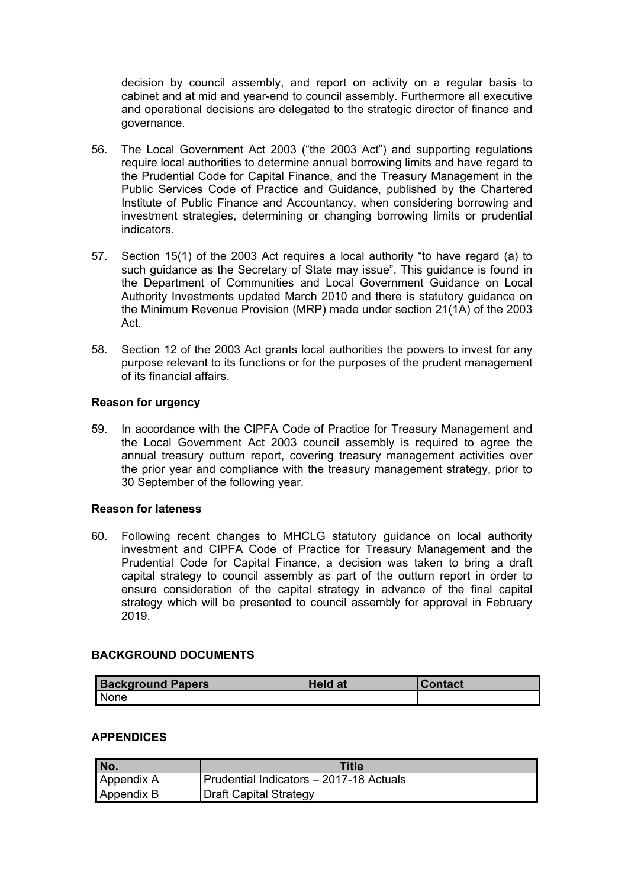decision by council assembly, and report on activity on a regular basis to cabinet and at mid and year-end to council assembly. Furthermore all executive and operational decisions are delegated to the strategic director of finance and governance.

- 56. The Local Government Act 2003 ("the 2003 Act") and supporting regulations require local authorities to determine annual borrowing limits and have regard to the Prudential Code for Capital Finance, and the Treasury Management in the Public Services Code of Practice and Guidance, published by the Chartered Institute of Public Finance and Accountancy, when considering borrowing and investment strategies, determining or changing borrowing limits or prudential indicators.
- 57. Section 15(1) of the 2003 Act requires a local authority "to have regard (a) to such guidance as the Secretary of State may issue". This guidance is found in the Department of Communities and Local Government Guidance on Local Authority Investments updated March 2010 and there is statutory guidance on the Minimum Revenue Provision (MRP) made under section 21(1A) of the 2003 Act.
- 58. Section 12 of the 2003 Act grants local authorities the powers to invest for any purpose relevant to its functions or for the purposes of the prudent management of its financial affairs.

#### **Reason for urgency**

59. In accordance with the CIPFA Code of Practice for Treasury Management and the Local Government Act 2003 council assembly is required to agree the annual treasury outturn report, covering treasury management activities over the prior year and compliance with the treasury management strategy, prior to 30 September of the following year.

#### **Reason for lateness**

60. Following recent changes to MHCLG statutory guidance on local authority investment and CIPFA Code of Practice for Treasury Management and the Prudential Code for Capital Finance, a decision was taken to bring a draft capital strategy to council assembly as part of the outturn report in order to ensure consideration of the capital strategy in advance of the final capital strategy which will be presented to council assembly for approval in February 2019.

### **BACKGROUND DOCUMENTS**

| <b>Background Papers</b> | <b>Held at</b> | <b>Contact</b> |
|--------------------------|----------------|----------------|
| None                     |                |                |

#### **APPENDICES**

| No.        | Title                                   |
|------------|-----------------------------------------|
| Appendix A | Prudential Indicators - 2017-18 Actuals |
| Appendix B | <b>Draft Capital Strategy</b>           |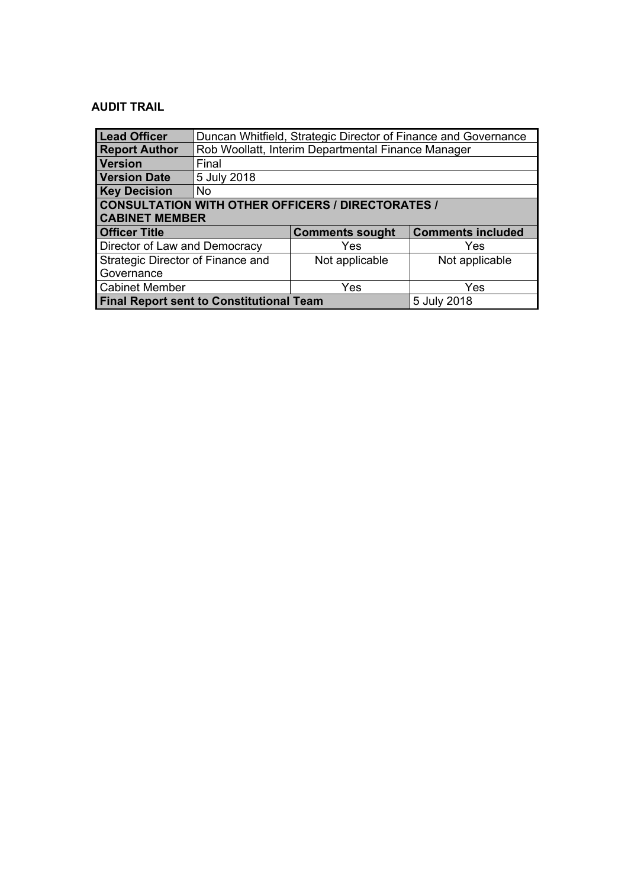# **AUDIT TRAIL**

| <b>Lead Officer</b>                                            | Duncan Whitfield, Strategic Director of Finance and Governance |                        |                          |  |
|----------------------------------------------------------------|----------------------------------------------------------------|------------------------|--------------------------|--|
| <b>Report Author</b>                                           | Rob Woollatt, Interim Departmental Finance Manager             |                        |                          |  |
| <b>Version</b>                                                 | Final                                                          |                        |                          |  |
| <b>Version Date</b>                                            | 5 July 2018                                                    |                        |                          |  |
| <b>Key Decision</b>                                            | No                                                             |                        |                          |  |
| <b>CONSULTATION WITH OTHER OFFICERS / DIRECTORATES /</b>       |                                                                |                        |                          |  |
| <b>CABINET MEMBER</b>                                          |                                                                |                        |                          |  |
| <b>Officer Title</b>                                           |                                                                | <b>Comments sought</b> | <b>Comments included</b> |  |
| Director of Law and Democracy                                  |                                                                | Yes                    | Yes                      |  |
| Strategic Director of Finance and                              |                                                                | Not applicable         | Not applicable           |  |
| Governance                                                     |                                                                |                        |                          |  |
| <b>Cabinet Member</b>                                          |                                                                | Yes                    | Yes                      |  |
| <b>Final Report sent to Constitutional Team</b><br>5 July 2018 |                                                                |                        |                          |  |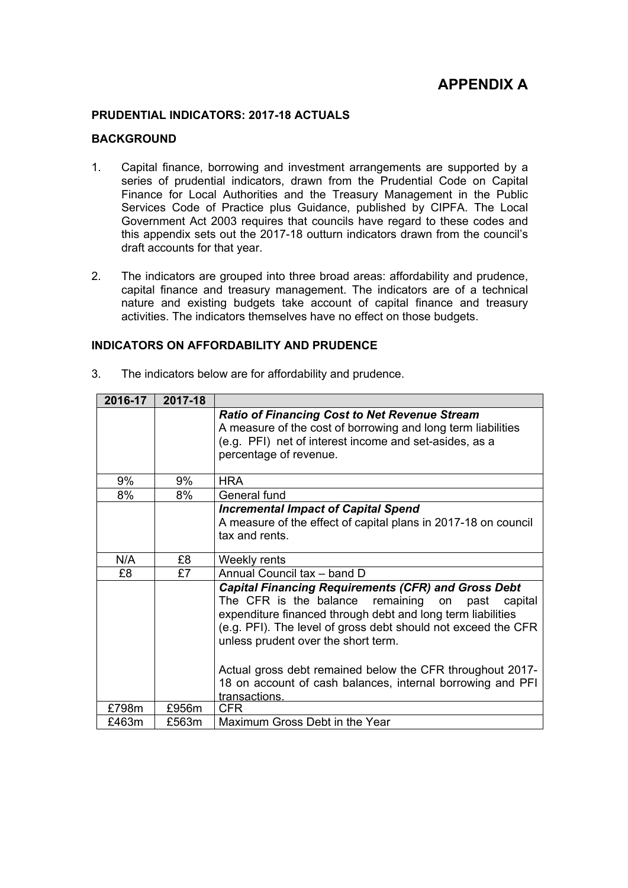# **APPENDIX A**

#### **PRUDENTIAL INDICATORS: 2017-18 ACTUALS**

#### **BACKGROUND**

- 1. Capital finance, borrowing and investment arrangements are supported by a series of prudential indicators, drawn from the Prudential Code on Capital Finance for Local Authorities and the Treasury Management in the Public Services Code of Practice plus Guidance, published by CIPFA. The Local Government Act 2003 requires that councils have regard to these codes and this appendix sets out the 2017-18 outturn indicators drawn from the council's draft accounts for that year.
- 2. The indicators are grouped into three broad areas: affordability and prudence, capital finance and treasury management. The indicators are of a technical nature and existing budgets take account of capital finance and treasury activities. The indicators themselves have no effect on those budgets.

#### **INDICATORS ON AFFORDABILITY AND PRUDENCE**

| 2016-17 | 2017-18 |                                                                                                                                                                                                                                                                                             |
|---------|---------|---------------------------------------------------------------------------------------------------------------------------------------------------------------------------------------------------------------------------------------------------------------------------------------------|
|         |         | <b>Ratio of Financing Cost to Net Revenue Stream</b><br>A measure of the cost of borrowing and long term liabilities<br>(e.g. PFI) net of interest income and set-asides, as a<br>percentage of revenue.                                                                                    |
| 9%      | 9%      | <b>HRA</b>                                                                                                                                                                                                                                                                                  |
| 8%      | 8%      | General fund                                                                                                                                                                                                                                                                                |
|         |         | <b>Incremental Impact of Capital Spend</b><br>A measure of the effect of capital plans in 2017-18 on council<br>tax and rents.                                                                                                                                                              |
| N/A     | £8      | Weekly rents                                                                                                                                                                                                                                                                                |
| £8      | £7      | Annual Council tax - band D                                                                                                                                                                                                                                                                 |
|         |         | <b>Capital Financing Requirements (CFR) and Gross Debt</b><br>The CFR is the balance remaining on<br>past<br>capital<br>expenditure financed through debt and long term liabilities<br>(e.g. PFI). The level of gross debt should not exceed the CFR<br>unless prudent over the short term. |
|         |         | Actual gross debt remained below the CFR throughout 2017-<br>18 on account of cash balances, internal borrowing and PFI<br>transactions.                                                                                                                                                    |
| £798m   | £956m   | <b>CFR</b>                                                                                                                                                                                                                                                                                  |
| £463m   | £563m   | Maximum Gross Debt in the Year                                                                                                                                                                                                                                                              |

3. The indicators below are for affordability and prudence.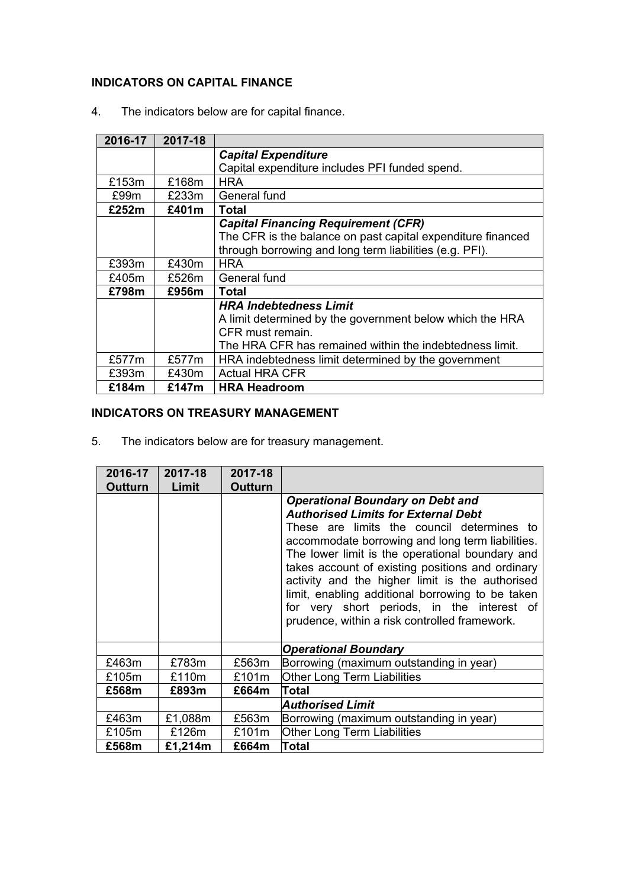# **INDICATORS ON CAPITAL FINANCE**

4. The indicators below are for capital finance.

| 2016-17 | 2017-18 |                                                             |
|---------|---------|-------------------------------------------------------------|
|         |         | <b>Capital Expenditure</b>                                  |
|         |         | Capital expenditure includes PFI funded spend.              |
| £153m   | £168m   | <b>HRA</b>                                                  |
| £99m    | £233m   | General fund                                                |
| £252m   | £401m   | Total                                                       |
|         |         | <b>Capital Financing Requirement (CFR)</b>                  |
|         |         | The CFR is the balance on past capital expenditure financed |
|         |         | through borrowing and long term liabilities (e.g. PFI).     |
| £393m   | £430m   | <b>HRA</b>                                                  |
| £405m   | £526m   | General fund                                                |
| £798m   | £956m   | <b>Total</b>                                                |
|         |         | <b>HRA Indebtedness Limit</b>                               |
|         |         | A limit determined by the government below which the HRA    |
|         |         | CFR must remain.                                            |
|         |         | The HRA CFR has remained within the indebtedness limit.     |
| £577m   | £577m   | HRA indebtedness limit determined by the government         |
| £393m   | £430m   | <b>Actual HRA CFR</b>                                       |
| £184m   | £147m   | <b>HRA Headroom</b>                                         |

# **INDICATORS ON TREASURY MANAGEMENT**

5. The indicators below are for treasury management.

| 2016-17        | 2017-18 | 2017-18        |                                                                                                                                                                                                                                                                                                                                                                                                                                                                                                      |
|----------------|---------|----------------|------------------------------------------------------------------------------------------------------------------------------------------------------------------------------------------------------------------------------------------------------------------------------------------------------------------------------------------------------------------------------------------------------------------------------------------------------------------------------------------------------|
| <b>Outturn</b> | Limit   | <b>Outturn</b> |                                                                                                                                                                                                                                                                                                                                                                                                                                                                                                      |
|                |         |                | <b>Operational Boundary on Debt and</b><br><b>Authorised Limits for External Debt</b><br>These are limits the council determines to<br>accommodate borrowing and long term liabilities.<br>The lower limit is the operational boundary and<br>takes account of existing positions and ordinary<br>activity and the higher limit is the authorised<br>limit, enabling additional borrowing to be taken<br>for very short periods, in the interest of<br>prudence, within a risk controlled framework. |
|                |         |                | <b>Operational Boundary</b>                                                                                                                                                                                                                                                                                                                                                                                                                                                                          |
| £463m          | £783m   | £563m          | Borrowing (maximum outstanding in year)                                                                                                                                                                                                                                                                                                                                                                                                                                                              |
| £105m          | £110m   | £101m          | <b>Other Long Term Liabilities</b>                                                                                                                                                                                                                                                                                                                                                                                                                                                                   |
| £568m          | £893m   | £664m          | Total                                                                                                                                                                                                                                                                                                                                                                                                                                                                                                |
|                |         |                | <b>Authorised Limit</b>                                                                                                                                                                                                                                                                                                                                                                                                                                                                              |
| £463m          | £1,088m | £563m          | Borrowing (maximum outstanding in year)                                                                                                                                                                                                                                                                                                                                                                                                                                                              |
| £105m          | £126m   | £101m          | <b>Other Long Term Liabilities</b>                                                                                                                                                                                                                                                                                                                                                                                                                                                                   |
| £568m          | £1,214m | £664m          | Total                                                                                                                                                                                                                                                                                                                                                                                                                                                                                                |